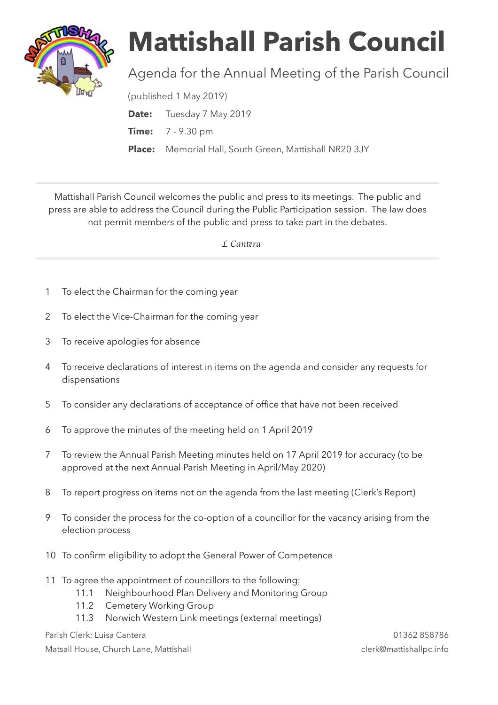

## **Mattishall Parish Council**

## Agenda for the Annual Meeting of the Parish Council

(published 1 May 2019)

**Date:** Tuesday 7 May 2019 **Time:** 7 - 9.30 pm **Place:** Memorial Hall, South Green, Mattishall NR20 3JY

Mattishall Parish Council welcomes the public and press to its meetings. The public and press are able to address the Council during the Public Participation session. The law does not permit members of the public and press to take part in the debates.

 *L Can*t*ra* 

- 1 To elect the Chairman for the coming year
- 2 To elect the Vice-Chairman for the coming year
- 3 To receive apologies for absence
- 4 To receive declarations of interest in items on the agenda and consider any requests for dispensations
- 5 To consider any declarations of acceptance of office that have not been received
- 6 To approve the minutes of the meeting held on 1 April 2019
- 7 To review the Annual Parish Meeting minutes held on 17 April 2019 for accuracy (to be approved at the next Annual Parish Meeting in April/May 2020)
- 8 To report progress on items not on the agenda from the last meeting (Clerk's Report)
- 9 To consider the process for the co-option of a councillor for the vacancy arising from the election process
- 10 To confirm eligibility to adopt the General Power of Competence
- 11 To agree the appointment of councillors to the following:
	- 11.1 Neighbourhood Plan Delivery and Monitoring Group
	- 11.2 Cemetery Working Group
	- 11.3 Norwich Western Link meetings (external meetings)

Parish Clerk: Luisa Cantera 01362 858786

Matsall House, Church Lane, Mattishall clerk@mattishallpc.info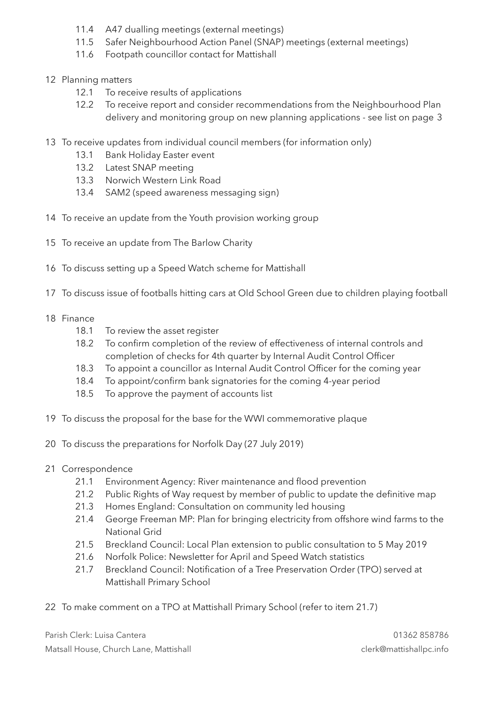- 11.4 A47 dualling meetings (external meetings)
- 11.5 Safer Neighbourhood Action Panel (SNAP) meetings (external meetings)
- 11.6 Footpath councillor contact for Mattishall
- 12 Planning matters
	- 12.1 To receive results of applications
	- 12.2 To receive report and consider recommendations from the Neighbourhood Plan delivery and monitoring group on new planning applications - see list on page 3
- 13 To receive updates from individual council members (for information only)
	- 13.1 Bank Holiday Easter event
	- 13.2 Latest SNAP meeting
	- 13.3 Norwich Western Link Road
	- 13.4 SAM2 (speed awareness messaging sign)
- 14 To receive an update from the Youth provision working group
- 15 To receive an update from The Barlow Charity
- 16 To discuss setting up a Speed Watch scheme for Mattishall
- 17 To discuss issue of footballs hitting cars at Old School Green due to children playing football
- 18 Finance
	- 18.1 To review the asset register
	- 18.2 To confirm completion of the review of effectiveness of internal controls and completion of checks for 4th quarter by Internal Audit Control Officer
	- 18.3 To appoint a councillor as Internal Audit Control Officer for the coming year
	- 18.4 To appoint/confirm bank signatories for the coming 4-year period
	- 18.5 To approve the payment of accounts list
- 19 To discuss the proposal for the base for the WWI commemorative plaque
- 20 To discuss the preparations for Norfolk Day (27 July 2019)
- 21 Correspondence
	- 21.1 Environment Agency: River maintenance and flood prevention
	- 21.2 Public Rights of Way request by member of public to update the definitive map
	- 21.3 Homes England: Consultation on community led housing
	- 21.4 George Freeman MP: Plan for bringing electricity from offshore wind farms to the National Grid
	- 21.5 Breckland Council: Local Plan extension to public consultation to 5 May 2019
	- 21.6 Norfolk Police: Newsletter for April and Speed Watch statistics
	- 21.7 Breckland Council: Notification of a Tree Preservation Order (TPO) served at Mattishall Primary School
- 22 To make comment on a TPO at Mattishall Primary School (refer to item 21.7)

Parish Clerk: Luisa Cantera 01362 858786 Matsall House, Church Lane, Mattishall clerk@mattishallpc.info